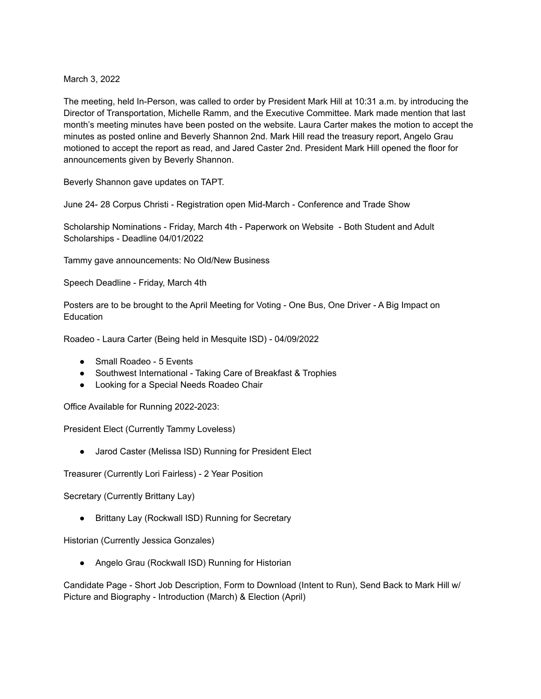March 3, 2022

The meeting, held In-Person, was called to order by President Mark Hill at 10:31 a.m. by introducing the Director of Transportation, Michelle Ramm, and the Executive Committee. Mark made mention that last month's meeting minutes have been posted on the website. Laura Carter makes the motion to accept the minutes as posted online and Beverly Shannon 2nd. Mark Hill read the treasury report, Angelo Grau motioned to accept the report as read, and Jared Caster 2nd. President Mark Hill opened the floor for announcements given by Beverly Shannon.

Beverly Shannon gave updates on TAPT.

June 24- 28 Corpus Christi - Registration open Mid-March - Conference and Trade Show

Scholarship Nominations - Friday, March 4th - Paperwork on Website - Both Student and Adult Scholarships - Deadline 04/01/2022

Tammy gave announcements: No Old/New Business

Speech Deadline - Friday, March 4th

Posters are to be brought to the April Meeting for Voting - One Bus, One Driver - A Big Impact on **Education** 

Roadeo - Laura Carter (Being held in Mesquite ISD) - 04/09/2022

- Small Roadeo 5 Events
- Southwest International Taking Care of Breakfast & Trophies
- Looking for a Special Needs Roadeo Chair

Office Available for Running 2022-2023:

President Elect (Currently Tammy Loveless)

● Jarod Caster (Melissa ISD) Running for President Elect

Treasurer (Currently Lori Fairless) - 2 Year Position

Secretary (Currently Brittany Lay)

● Brittany Lay (Rockwall ISD) Running for Secretary

Historian (Currently Jessica Gonzales)

● Angelo Grau (Rockwall ISD) Running for Historian

Candidate Page - Short Job Description, Form to Download (Intent to Run), Send Back to Mark Hill w/ Picture and Biography - Introduction (March) & Election (April)